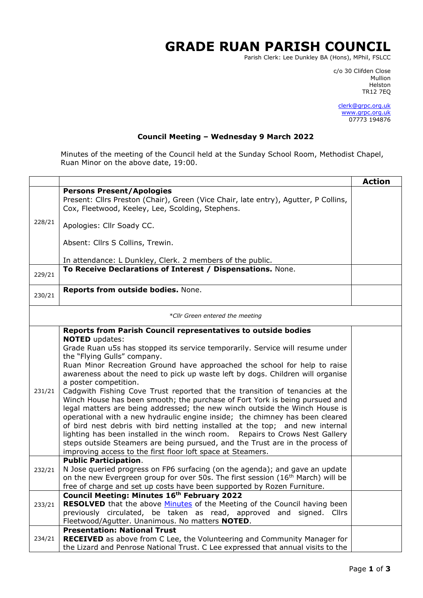## **GRADE RUAN PARISH COUNCIL**

Parish Clerk: Lee Dunkley BA (Hons), MPhil, FSLCC

c/o 30 Clifden Close man and the control of the control of the control of the control of the control of the control of the control o Helston TR12 7EQ

> [clerk@grpc.org.uk](mailto:clerk@grpc.org.uk) [www.grpc.org.uk](http://www.grpc.org.uk/) 07773 194876

## **Council Meeting – Wednesday 9 March 2022**

Minutes of the meeting of the Council held at the Sunday School Room, Methodist Chapel, Ruan Minor on the above date, 19:00.

|                                 |                                                                                                                                                                                                                                                                                                                                                                                                                                                                                                                                                                                                                                                                                                                                                                                                                                                                                                                                                                                                                                              | <b>Action</b> |  |  |
|---------------------------------|----------------------------------------------------------------------------------------------------------------------------------------------------------------------------------------------------------------------------------------------------------------------------------------------------------------------------------------------------------------------------------------------------------------------------------------------------------------------------------------------------------------------------------------------------------------------------------------------------------------------------------------------------------------------------------------------------------------------------------------------------------------------------------------------------------------------------------------------------------------------------------------------------------------------------------------------------------------------------------------------------------------------------------------------|---------------|--|--|
|                                 | <b>Persons Present/Apologies</b><br>Present: Cllrs Preston (Chair), Green (Vice Chair, late entry), Agutter, P Collins,<br>Cox, Fleetwood, Keeley, Lee, Scolding, Stephens.                                                                                                                                                                                                                                                                                                                                                                                                                                                                                                                                                                                                                                                                                                                                                                                                                                                                  |               |  |  |
| 228/21                          | Apologies: Cllr Soady CC.                                                                                                                                                                                                                                                                                                                                                                                                                                                                                                                                                                                                                                                                                                                                                                                                                                                                                                                                                                                                                    |               |  |  |
|                                 | Absent: Cllrs S Collins, Trewin.                                                                                                                                                                                                                                                                                                                                                                                                                                                                                                                                                                                                                                                                                                                                                                                                                                                                                                                                                                                                             |               |  |  |
|                                 | In attendance: L Dunkley, Clerk. 2 members of the public.                                                                                                                                                                                                                                                                                                                                                                                                                                                                                                                                                                                                                                                                                                                                                                                                                                                                                                                                                                                    |               |  |  |
| 229/21                          | To Receive Declarations of Interest / Dispensations. None.                                                                                                                                                                                                                                                                                                                                                                                                                                                                                                                                                                                                                                                                                                                                                                                                                                                                                                                                                                                   |               |  |  |
| 230/21                          | Reports from outside bodies. None.                                                                                                                                                                                                                                                                                                                                                                                                                                                                                                                                                                                                                                                                                                                                                                                                                                                                                                                                                                                                           |               |  |  |
| *Cllr Green entered the meeting |                                                                                                                                                                                                                                                                                                                                                                                                                                                                                                                                                                                                                                                                                                                                                                                                                                                                                                                                                                                                                                              |               |  |  |
| 231/21                          | Reports from Parish Council representatives to outside bodies<br><b>NOTED</b> updates:<br>Grade Ruan u5s has stopped its service temporarily. Service will resume under<br>the "Flying Gulls" company.<br>Ruan Minor Recreation Ground have approached the school for help to raise<br>awareness about the need to pick up waste left by dogs. Children will organise<br>a poster competition.<br>Cadgwith Fishing Cove Trust reported that the transition of tenancies at the<br>Winch House has been smooth; the purchase of Fort York is being pursued and<br>legal matters are being addressed; the new winch outside the Winch House is<br>operational with a new hydraulic engine inside; the chimney has been cleared<br>of bird nest debris with bird netting installed at the top; and new internal<br>lighting has been installed in the winch room. Repairs to Crows Nest Gallery<br>steps outside Steamers are being pursued, and the Trust are in the process of<br>improving access to the first floor loft space at Steamers. |               |  |  |
| 232/21                          | <b>Public Participation.</b><br>N Jose queried progress on FP6 surfacing (on the agenda); and gave an update<br>on the new Evergreen group for over 50s. The first session (16 <sup>th</sup> March) will be<br>free of charge and set up costs have been supported by Rozen Furniture.                                                                                                                                                                                                                                                                                                                                                                                                                                                                                                                                                                                                                                                                                                                                                       |               |  |  |
| 233/21                          | <b>Council Meeting: Minutes 16th February 2022</b><br><b>RESOLVED</b> that the above Minutes of the Meeting of the Council having been<br>previously circulated, be taken as read, approved and signed. Cllrs<br>Fleetwood/Agutter. Unanimous. No matters NOTED.                                                                                                                                                                                                                                                                                                                                                                                                                                                                                                                                                                                                                                                                                                                                                                             |               |  |  |
| 234/21                          | <b>Presentation: National Trust</b><br>RECEIVED as above from C Lee, the Volunteering and Community Manager for<br>the Lizard and Penrose National Trust. C Lee expressed that annual visits to the                                                                                                                                                                                                                                                                                                                                                                                                                                                                                                                                                                                                                                                                                                                                                                                                                                          |               |  |  |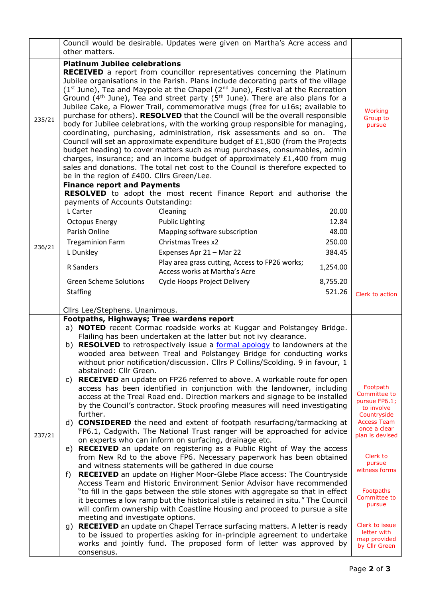|        | Council would be desirable. Updates were given on Martha's Acre access and<br>other matters. |                                                                                                                                                                                                                                                                                                                                                                                                                                                                                                                                                                                                                                                                                                                                                                                                                                                                                                                                                                                                                               |                          |                                 |
|--------|----------------------------------------------------------------------------------------------|-------------------------------------------------------------------------------------------------------------------------------------------------------------------------------------------------------------------------------------------------------------------------------------------------------------------------------------------------------------------------------------------------------------------------------------------------------------------------------------------------------------------------------------------------------------------------------------------------------------------------------------------------------------------------------------------------------------------------------------------------------------------------------------------------------------------------------------------------------------------------------------------------------------------------------------------------------------------------------------------------------------------------------|--------------------------|---------------------------------|
|        |                                                                                              |                                                                                                                                                                                                                                                                                                                                                                                                                                                                                                                                                                                                                                                                                                                                                                                                                                                                                                                                                                                                                               |                          |                                 |
| 235/21 | <b>Platinum Jubilee celebrations</b><br>be in the region of £400. Cllrs Green/Lee.           | <b>RECEIVED</b> a report from councillor representatives concerning the Platinum<br>Jubilee organisations in the Parish. Plans include decorating parts of the village<br>$(1st$ June), Tea and Maypole at the Chapel $(2nd$ June), Festival at the Recreation<br>Ground ( $4th$ June), Tea and street party ( $5th$ June). There are also plans for a<br>Jubilee Cake, a Flower Trail, commemorative mugs (free for u16s; available to<br>purchase for others). RESOLVED that the Council will be the overall responsible<br>body for Jubilee celebrations, with the working group responsible for managing,<br>coordinating, purchasing, administration, risk assessments and so on. The<br>Council will set an approximate expenditure budget of £1,800 (from the Projects<br>budget heading) to cover matters such as mug purchases, consumables, admin<br>charges, insurance; and an income budget of approximately $£1,400$ from mug<br>sales and donations. The total net cost to the Council is therefore expected to |                          | Working<br>Group to<br>pursue   |
|        | <b>Finance report and Payments</b>                                                           |                                                                                                                                                                                                                                                                                                                                                                                                                                                                                                                                                                                                                                                                                                                                                                                                                                                                                                                                                                                                                               |                          |                                 |
|        |                                                                                              | RESOLVED to adopt the most recent Finance Report and authorise the                                                                                                                                                                                                                                                                                                                                                                                                                                                                                                                                                                                                                                                                                                                                                                                                                                                                                                                                                            |                          |                                 |
|        | payments of Accounts Outstanding:<br>L Carter                                                | Cleaning                                                                                                                                                                                                                                                                                                                                                                                                                                                                                                                                                                                                                                                                                                                                                                                                                                                                                                                                                                                                                      | 20.00                    |                                 |
|        | <b>Octopus Energy</b>                                                                        | <b>Public Lighting</b>                                                                                                                                                                                                                                                                                                                                                                                                                                                                                                                                                                                                                                                                                                                                                                                                                                                                                                                                                                                                        | 12.84                    |                                 |
|        | Parish Online                                                                                | Mapping software subscription                                                                                                                                                                                                                                                                                                                                                                                                                                                                                                                                                                                                                                                                                                                                                                                                                                                                                                                                                                                                 | 48.00                    |                                 |
|        | <b>Tregaminion Farm</b>                                                                      | Christmas Trees x2                                                                                                                                                                                                                                                                                                                                                                                                                                                                                                                                                                                                                                                                                                                                                                                                                                                                                                                                                                                                            | 250.00                   |                                 |
| 236/21 | L Dunkley                                                                                    | Expenses Apr 21 - Mar 22                                                                                                                                                                                                                                                                                                                                                                                                                                                                                                                                                                                                                                                                                                                                                                                                                                                                                                                                                                                                      | 384.45                   |                                 |
|        | R Sanders                                                                                    | Play area grass cutting, Access to FP26 works;<br>Access works at Martha's Acre                                                                                                                                                                                                                                                                                                                                                                                                                                                                                                                                                                                                                                                                                                                                                                                                                                                                                                                                               | 1,254.00                 |                                 |
|        | <b>Green Scheme Solutions</b>                                                                | Cycle Hoops Project Delivery                                                                                                                                                                                                                                                                                                                                                                                                                                                                                                                                                                                                                                                                                                                                                                                                                                                                                                                                                                                                  | 8,755.20                 |                                 |
|        | <b>Staffing</b>                                                                              |                                                                                                                                                                                                                                                                                                                                                                                                                                                                                                                                                                                                                                                                                                                                                                                                                                                                                                                                                                                                                               | 521.26                   | Clerk to action                 |
|        | Cllrs Lee/Stephens. Unanimous.                                                               |                                                                                                                                                                                                                                                                                                                                                                                                                                                                                                                                                                                                                                                                                                                                                                                                                                                                                                                                                                                                                               |                          |                                 |
|        | Footpaths, Highways; Tree wardens report                                                     | a) <b>NOTED</b> recent Cormac roadside works at Kuggar and Polstangey Bridge.                                                                                                                                                                                                                                                                                                                                                                                                                                                                                                                                                                                                                                                                                                                                                                                                                                                                                                                                                 |                          |                                 |
|        |                                                                                              | Flailing has been undertaken at the latter but not ivy clearance.                                                                                                                                                                                                                                                                                                                                                                                                                                                                                                                                                                                                                                                                                                                                                                                                                                                                                                                                                             |                          |                                 |
|        |                                                                                              | b) <b>RESOLVED</b> to retrospectively issue a formal apology to landowners at the                                                                                                                                                                                                                                                                                                                                                                                                                                                                                                                                                                                                                                                                                                                                                                                                                                                                                                                                             |                          |                                 |
|        |                                                                                              | wooded area between Treal and Polstangey Bridge for conducting works                                                                                                                                                                                                                                                                                                                                                                                                                                                                                                                                                                                                                                                                                                                                                                                                                                                                                                                                                          |                          |                                 |
|        | abstained: Cllr Green.                                                                       | without prior notification/discussion. Cllrs P Collins/Scolding. 9 in favour, 1                                                                                                                                                                                                                                                                                                                                                                                                                                                                                                                                                                                                                                                                                                                                                                                                                                                                                                                                               |                          |                                 |
|        | C)                                                                                           | <b>RECEIVED</b> an update on FP26 referred to above. A workable route for open                                                                                                                                                                                                                                                                                                                                                                                                                                                                                                                                                                                                                                                                                                                                                                                                                                                                                                                                                |                          |                                 |
|        | access has been identified in conjunction with the landowner, including                      |                                                                                                                                                                                                                                                                                                                                                                                                                                                                                                                                                                                                                                                                                                                                                                                                                                                                                                                                                                                                                               | Footpath<br>Committee to |                                 |
|        | access at the Treal Road end. Direction markers and signage to be installed                  |                                                                                                                                                                                                                                                                                                                                                                                                                                                                                                                                                                                                                                                                                                                                                                                                                                                                                                                                                                                                                               |                          | pursue FP6.1;                   |
|        | by the Council's contractor. Stock proofing measures will need investigating<br>further.     |                                                                                                                                                                                                                                                                                                                                                                                                                                                                                                                                                                                                                                                                                                                                                                                                                                                                                                                                                                                                                               |                          | to involve<br>Countryside       |
|        | d)                                                                                           | <b>CONSIDERED</b> the need and extent of footpath resurfacing/tarmacking at                                                                                                                                                                                                                                                                                                                                                                                                                                                                                                                                                                                                                                                                                                                                                                                                                                                                                                                                                   |                          | <b>Access Team</b>              |
| 237/21 |                                                                                              | FP6.1, Cadgwith. The National Trust ranger will be approached for advice                                                                                                                                                                                                                                                                                                                                                                                                                                                                                                                                                                                                                                                                                                                                                                                                                                                                                                                                                      |                          | once a clear<br>plan is devised |
|        |                                                                                              | on experts who can inform on surfacing, drainage etc.<br><b>RECEIVED</b> an update on registering as a Public Right of Way the access                                                                                                                                                                                                                                                                                                                                                                                                                                                                                                                                                                                                                                                                                                                                                                                                                                                                                         |                          |                                 |
|        | e)                                                                                           |                                                                                                                                                                                                                                                                                                                                                                                                                                                                                                                                                                                                                                                                                                                                                                                                                                                                                                                                                                                                                               |                          |                                 |
|        |                                                                                              |                                                                                                                                                                                                                                                                                                                                                                                                                                                                                                                                                                                                                                                                                                                                                                                                                                                                                                                                                                                                                               |                          | Clerk to                        |
|        |                                                                                              | from New Rd to the above FP6. Necessary paperwork has been obtained<br>and witness statements will be gathered in due course                                                                                                                                                                                                                                                                                                                                                                                                                                                                                                                                                                                                                                                                                                                                                                                                                                                                                                  |                          | pursue                          |
|        | f)                                                                                           | <b>RECEIVED</b> an update on Higher Moor-Glebe Place access: The Countryside                                                                                                                                                                                                                                                                                                                                                                                                                                                                                                                                                                                                                                                                                                                                                                                                                                                                                                                                                  |                          | witness forms                   |
|        |                                                                                              | Access Team and Historic Environment Senior Advisor have recommended                                                                                                                                                                                                                                                                                                                                                                                                                                                                                                                                                                                                                                                                                                                                                                                                                                                                                                                                                          |                          |                                 |
|        |                                                                                              | "to fill in the gaps between the stile stones with aggregate so that in effect                                                                                                                                                                                                                                                                                                                                                                                                                                                                                                                                                                                                                                                                                                                                                                                                                                                                                                                                                |                          | Footpaths<br>Committee to       |
|        |                                                                                              | it becomes a low ramp but the historical stile is retained in situ." The Council<br>will confirm ownership with Coastline Housing and proceed to pursue a site                                                                                                                                                                                                                                                                                                                                                                                                                                                                                                                                                                                                                                                                                                                                                                                                                                                                |                          | pursue                          |
|        | meeting and investigate options.                                                             |                                                                                                                                                                                                                                                                                                                                                                                                                                                                                                                                                                                                                                                                                                                                                                                                                                                                                                                                                                                                                               |                          |                                 |
|        | g)                                                                                           | RECEIVED an update on Chapel Terrace surfacing matters. A letter is ready                                                                                                                                                                                                                                                                                                                                                                                                                                                                                                                                                                                                                                                                                                                                                                                                                                                                                                                                                     |                          | Clerk to issue<br>letter with   |
|        |                                                                                              | to be issued to properties asking for in-principle agreement to undertake<br>works and jointly fund. The proposed form of letter was approved by                                                                                                                                                                                                                                                                                                                                                                                                                                                                                                                                                                                                                                                                                                                                                                                                                                                                              |                          | map provided<br>by Cllr Green   |